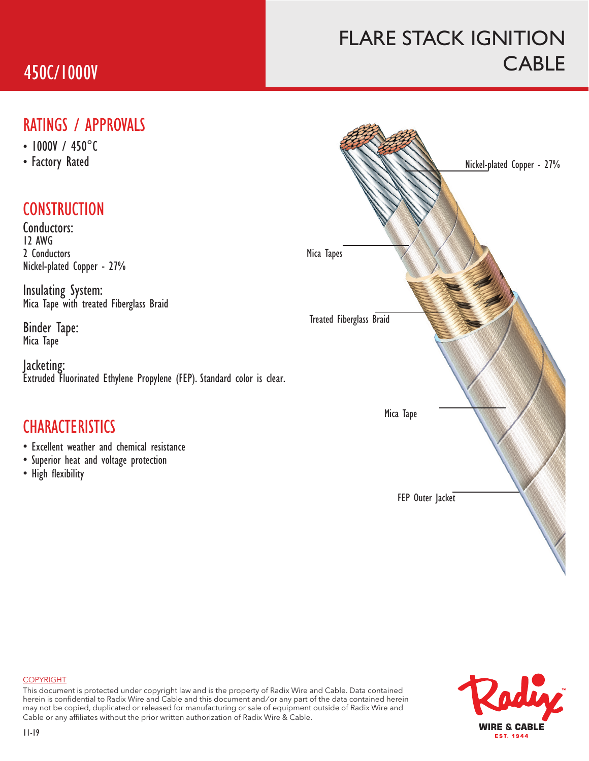## 450C/1000V

## FLARE STACK IGNITION **CABLE**

#### RATINGS / APPROVALS

- 1000V / 450°C
- 

### **CONSTRUCTION**

Conductors: 12 AWG 2 Conductors Nickel-plated Copper - 27%

Insulating System: Mica Tape with treated Fiberglass Braid

Binder Tape: Mica Tape

Jacketing: Extruded Fluorinated Ethylene Propylene (FEP). Standard color is clear.

### **CHARACTERISTICS**

- Excellent weather and chemical resistance
- Superior heat and voltage protection
- High flexibility





This document is protected under copyright law and is the property of Radix Wire and Cable. Data contained herein is confidential to Radix Wire and Cable and this document and / or any part of the data contained herein may not be copied, duplicated or released for manufacturing or sale of equipment outside of Radix Wire and Cable or any affiliates without the prior written authorization of Radix Wire & Cable.